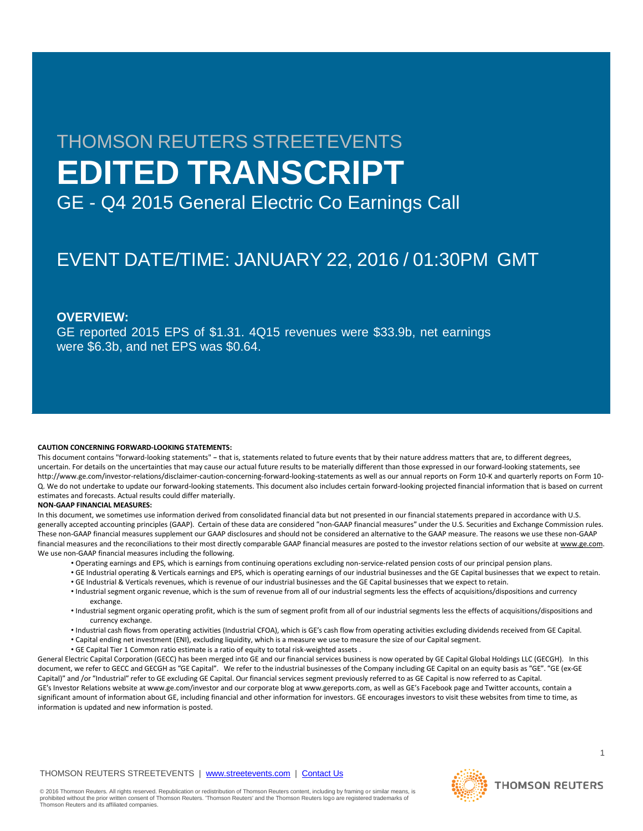# THOMSON REUTERS STREETEVENTS **EDITED TRANSCRIPT**

GE - Q4 2015 General Electric Co Earnings Call

# EVENT DATE/TIME: JANUARY 22, 2016 / 01:30PM GMT

# **OVERVIEW:**

GE reported 2015 EPS of \$1.31. 4Q15 revenues were \$33.9b, net earnings were \$6.3b, and net EPS was \$0.64.

#### **CAUTION CONCERNING FORWARD-LOOKING STATEMENTS:**

This document contains "forward-looking statements" – that is, statements related to future events that by their nature address matters that are, to different degrees, uncertain. For details on the uncertainties that may cause our actual future results to be materially different than those expressed in our forward-looking statements, see http://www.ge.com/investor-relations/disclaimer-caution-concerning-forward-looking-statements as well as our annual reports on Form 10-K and quarterly reports on Form 10- Q. We do not undertake to update our forward-looking statements. This document also includes certain forward-looking projected financial information that is based on current estimates and forecasts. Actual results could differ materially.

#### **NON-GAAP FINANCIAL MEASURES:**

In this document, we sometimes use information derived from consolidated financial data but not presented in our financial statements prepared in accordance with U.S. generally accepted accounting principles (GAAP). Certain of these data are considered "non-GAAP financial measures" under the U.S. Securities and Exchange Commission rules. These non-GAAP financial measures supplement our GAAP disclosures and should not be considered an alternative to the GAAP measure. The reasons we use these non-GAAP financial measures and the reconciliations to their most directly comparable GAAP financial measures are posted to the investor relations section of our website at www.ge.com. We use non-GAAP financial measures including the following.

- Operating earnings and EPS, which is earnings from continuing operations excluding non-service-related pension costs of our principal pension plans.
- GE Industrial operating & Verticals earnings and EPS, which is operating earnings of our industrial businesses and the GE Capital businesses that we expect to retain.
- GE Industrial & Verticals revenues, which is revenue of our industrial businesses and the GE Capital businesses that we expect to retain.
- Industrial segment organic revenue, which is the sum of revenue from all of our industrial segments less the effects of acquisitions/dispositions and currency exchange.
- Industrial segment organic operating profit, which is the sum of segment profit from all of our industrial segments less the effects of acquisitions/dispositions and currency exchange.
- Industrial cash flows from operating activities (Industrial CFOA), which is GE's cash flow from operating activities excluding dividends received from GE Capital.
- Capital ending net investment (ENI), excluding liquidity, which is a measure we use to measure the size of our Capital segment.
- GE Capital Tier 1 Common ratio estimate is a ratio of equity to total risk-weighted assets .

General Electric Capital Corporation (GECC) has been merged into GE and our financial services business is now operated by GE Capital Global Holdings LLC (GECGH). In this document, we refer to GECC and GECGH as "GE Capital". We refer to the industrial businesses of the Company including GE Capital on an equity basis as "GE". "GE (ex-GE Capital)" and /or "Industrial" refer to GE excluding GE Capital. Our financial services segment previously referred to as GE Capital is now referred to as Capital. GE's Investor Relations website at www.ge.com/investor and our corporate blog at www.gereports.com, as well as GE's Facebook page and Twitter accounts, contain a significant amount of information about GE, including financial and other information for investors. GE encourages investors to visit these websites from time to time, as information is updated and new information is posted.

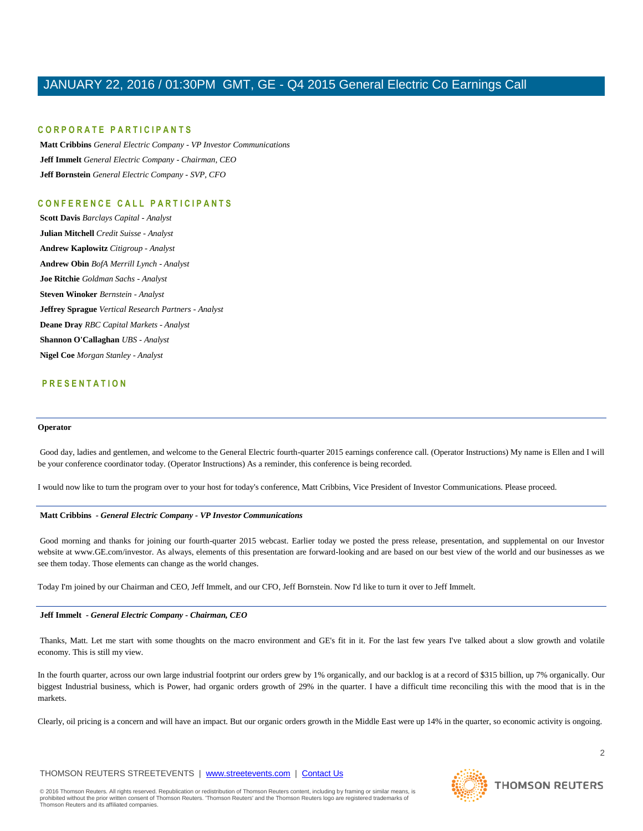# **C O R P O R A T E P A R T I C I P A N T S**

**Matt Cribbins** *General Electric Company - VP Investor Communications* **Jeff Immelt** *General Electric Company - Chairman, CEO* **Jeff Bornstein** *General Electric Company - SVP, CFO*

# **C O N F E R E N C E C A L L P A R T I C I P A N T S**

**Scott Davis** *Barclays Capital - Analyst* **Julian Mitchell** *Credit Suisse - Analyst* **Andrew Kaplowitz** *Citigroup - Analyst* **Andrew Obin** *BofA Merrill Lynch - Analyst* **Joe Ritchie** *Goldman Sachs - Analyst* **Steven Winoker** *Bernstein - Analyst* **Jeffrey Sprague** *Vertical Research Partners - Analyst* **Deane Dray** *RBC Capital Markets - Analyst* **Shannon O'Callaghan** *UBS - Analyst* **Nigel Coe** *Morgan Stanley - Analyst*

# **P R E S E N T A T I O N**

### **Operator**

Good day, ladies and gentlemen, and welcome to the General Electric fourth-quarter 2015 earnings conference call. (Operator Instructions) My name is Ellen and I will be your conference coordinator today. (Operator Instructions) As a reminder, this conference is being recorded.

I would now like to turn the program over to your host for today's conference, Matt Cribbins, Vice President of Investor Communications. Please proceed.

#### **Matt Cribbins** *- General Electric Company - VP Investor Communications*

Good morning and thanks for joining our fourth-quarter 2015 webcast. Earlier today we posted the press release, presentation, and supplemental on our Investor website at www.GE.com/investor. As always, elements of this presentation are forward-looking and are based on our best view of the world and our businesses as we see them today. Those elements can change as the world changes.

Today I'm joined by our Chairman and CEO, Jeff Immelt, and our CFO, Jeff Bornstein. Now I'd like to turn it over to Jeff Immelt.

### **Jeff Immelt** *- General Electric Company - Chairman, CEO*

Thanks, Matt. Let me start with some thoughts on the macro environment and GE's fit in it. For the last few years I've talked about a slow growth and volatile economy. This is still my view.

In the fourth quarter, across our own large industrial footprint our orders grew by 1% organically, and our backlog is at a record of \$315 billion, up 7% organically. Our biggest Industrial business, which is Power, had organic orders growth of 29% in the quarter. I have a difficult time reconciling this with the mood that is in the markets.

Clearly, oil pricing is a concern and will have an impact. But our organic orders growth in the Middle East were up 14% in the quarter, so economic activity is ongoing.

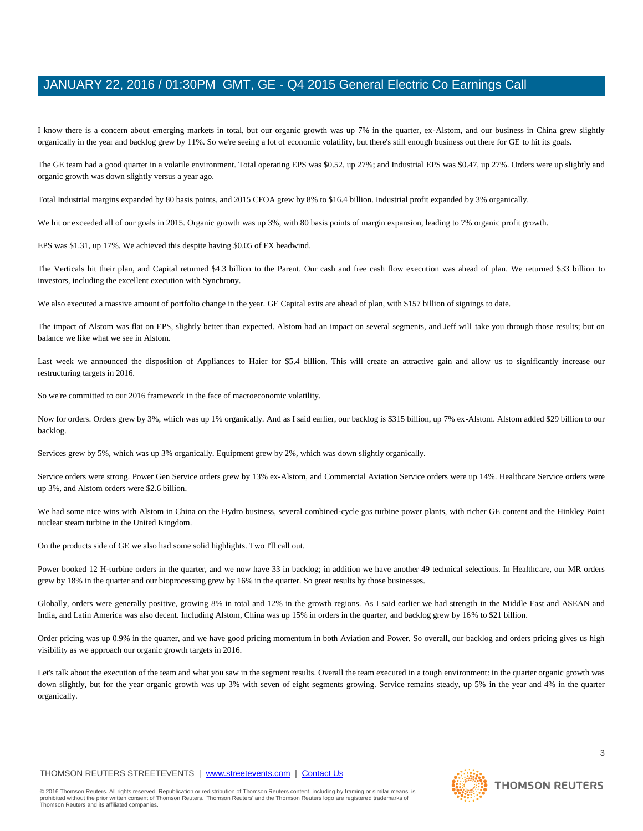I know there is a concern about emerging markets in total, but our organic growth was up 7% in the quarter, ex-Alstom, and our business in China grew slightly organically in the year and backlog grew by 11%. So we're seeing a lot of economic volatility, but there's still enough business out there for GE to hit its goals.

The GE team had a good quarter in a volatile environment. Total operating EPS was \$0.52, up 27%; and Industrial EPS was \$0.47, up 27%. Orders were up slightly and organic growth was down slightly versus a year ago.

Total Industrial margins expanded by 80 basis points, and 2015 CFOA grew by 8% to \$16.4 billion. Industrial profit expanded by 3% organically.

We hit or exceeded all of our goals in 2015. Organic growth was up 3%, with 80 basis points of margin expansion, leading to 7% organic profit growth.

EPS was \$1.31, up 17%. We achieved this despite having \$0.05 of FX headwind.

The Verticals hit their plan, and Capital returned \$4.3 billion to the Parent. Our cash and free cash flow execution was ahead of plan. We returned \$33 billion to investors, including the excellent execution with Synchrony.

We also executed a massive amount of portfolio change in the year. GE Capital exits are ahead of plan, with \$157 billion of signings to date.

The impact of Alstom was flat on EPS, slightly better than expected. Alstom had an impact on several segments, and Jeff will take you through those results; but on balance we like what we see in Alstom.

Last week we announced the disposition of Appliances to Haier for \$5.4 billion. This will create an attractive gain and allow us to significantly increase our restructuring targets in 2016.

So we're committed to our 2016 framework in the face of macroeconomic volatility.

Now for orders. Orders grew by 3%, which was up 1% organically. And as I said earlier, our backlog is \$315 billion, up 7% ex-Alstom. Alstom added \$29 billion to our backlog.

Services grew by 5%, which was up 3% organically. Equipment grew by 2%, which was down slightly organically.

Service orders were strong. Power Gen Service orders grew by 13% ex-Alstom, and Commercial Aviation Service orders were up 14%. Healthcare Service orders were up 3%, and Alstom orders were \$2.6 billion.

We had some nice wins with Alstom in China on the Hydro business, several combined-cycle gas turbine power plants, with richer GE content and the Hinkley Point nuclear steam turbine in the United Kingdom.

On the products side of GE we also had some solid highlights. Two I'll call out.

Power booked 12 H-turbine orders in the quarter, and we now have 33 in backlog; in addition we have another 49 technical selections. In Healthcare, our MR orders grew by 18% in the quarter and our bioprocessing grew by 16% in the quarter. So great results by those businesses.

Globally, orders were generally positive, growing 8% in total and 12% in the growth regions. As I said earlier we had strength in the Middle East and ASEAN and India, and Latin America was also decent. Including Alstom, China was up 15% in orders in the quarter, and backlog grew by 16% to \$21 billion.

Order pricing was up 0.9% in the quarter, and we have good pricing momentum in both Aviation and Power. So overall, our backlog and orders pricing gives us high visibility as we approach our organic growth targets in 2016.

Let's talk about the execution of the team and what you saw in the segment results. Overall the team executed in a tough environment: in the quarter organic growth was down slightly, but for the year organic growth was up 3% with seven of eight segments growing. Service remains steady, up 5% in the year and 4% in the quarter organically.

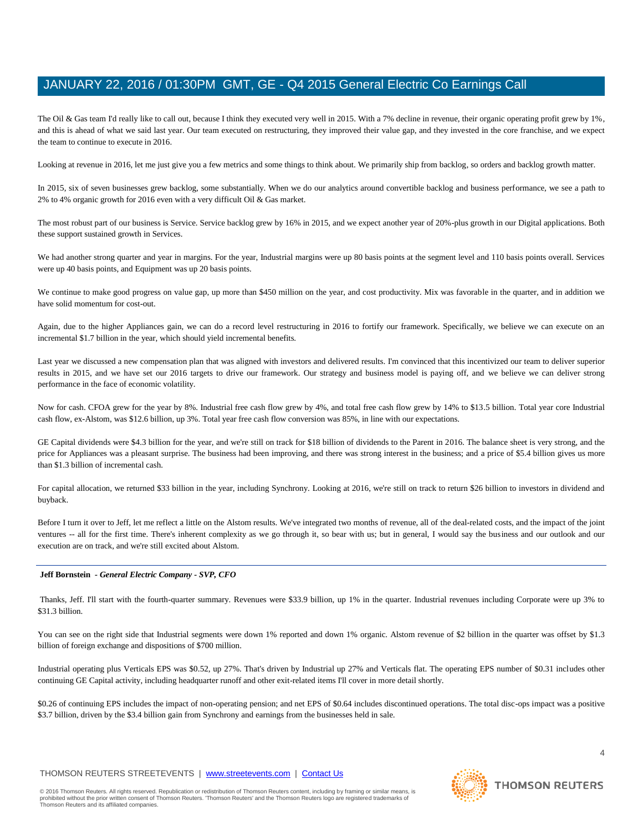The Oil & Gas team I'd really like to call out, because I think they executed very well in 2015. With a 7% decline in revenue, their organic operating profit grew by 1%, and this is ahead of what we said last year. Our team executed on restructuring, they improved their value gap, and they invested in the core franchise, and we expect the team to continue to execute in 2016.

Looking at revenue in 2016, let me just give you a few metrics and some things to think about. We primarily ship from backlog, so orders and backlog growth matter.

In 2015, six of seven businesses grew backlog, some substantially. When we do our analytics around convertible backlog and business performance, we see a path to 2% to 4% organic growth for 2016 even with a very difficult Oil & Gas market.

The most robust part of our business is Service. Service backlog grew by 16% in 2015, and we expect another year of 20%-plus growth in our Digital applications. Both these support sustained growth in Services.

We had another strong quarter and year in margins. For the year, Industrial margins were up 80 basis points at the segment level and 110 basis points overall. Services were up 40 basis points, and Equipment was up 20 basis points.

We continue to make good progress on value gap, up more than \$450 million on the year, and cost productivity. Mix was favorable in the quarter, and in addition we have solid momentum for cost-out.

Again, due to the higher Appliances gain, we can do a record level restructuring in 2016 to fortify our framework. Specifically, we believe we can execute on an incremental \$1.7 billion in the year, which should yield incremental benefits.

Last year we discussed a new compensation plan that was aligned with investors and delivered results. I'm convinced that this incentivized our team to deliver superior results in 2015, and we have set our 2016 targets to drive our framework. Our strategy and business model is paying off, and we believe we can deliver strong performance in the face of economic volatility.

Now for cash. CFOA grew for the year by 8%. Industrial free cash flow grew by 4%, and total free cash flow grew by 14% to \$13.5 billion. Total year core Industrial cash flow, ex-Alstom, was \$12.6 billion, up 3%. Total year free cash flow conversion was 85%, in line with our expectations.

GE Capital dividends were \$4.3 billion for the year, and we're still on track for \$18 billion of dividends to the Parent in 2016. The balance sheet is very strong, and the price for Appliances was a pleasant surprise. The business had been improving, and there was strong interest in the business; and a price of \$5.4 billion gives us more than \$1.3 billion of incremental cash.

For capital allocation, we returned \$33 billion in the year, including Synchrony. Looking at 2016, we're still on track to return \$26 billion to investors in dividend and buyback.

Before I turn it over to Jeff, let me reflect a little on the Alstom results. We've integrated two months of revenue, all of the deal-related costs, and the impact of the joint ventures -- all for the first time. There's inherent complexity as we go through it, so bear with us; but in general, I would say the business and our outlook and our execution are on track, and we're still excited about Alstom.

### **Jeff Bornstein** *- General Electric Company - SVP, CFO*

Thanks, Jeff. I'll start with the fourth-quarter summary. Revenues were \$33.9 billion, up 1% in the quarter. Industrial revenues including Corporate were up 3% to \$31.3 billion.

You can see on the right side that Industrial segments were down 1% reported and down 1% organic. Alstom revenue of \$2 billion in the quarter was offset by \$1.3 billion of foreign exchange and dispositions of \$700 million.

Industrial operating plus Verticals EPS was \$0.52, up 27%. That's driven by Industrial up 27% and Verticals flat. The operating EPS number of \$0.31 includes other continuing GE Capital activity, including headquarter runoff and other exit-related items I'll cover in more detail shortly.

\$0.26 of continuing EPS includes the impact of non-operating pension; and net EPS of \$0.64 includes discontinued operations. The total disc-ops impact was a positive \$3.7 billion, driven by the \$3.4 billion gain from Synchrony and earnings from the businesses held in sale.

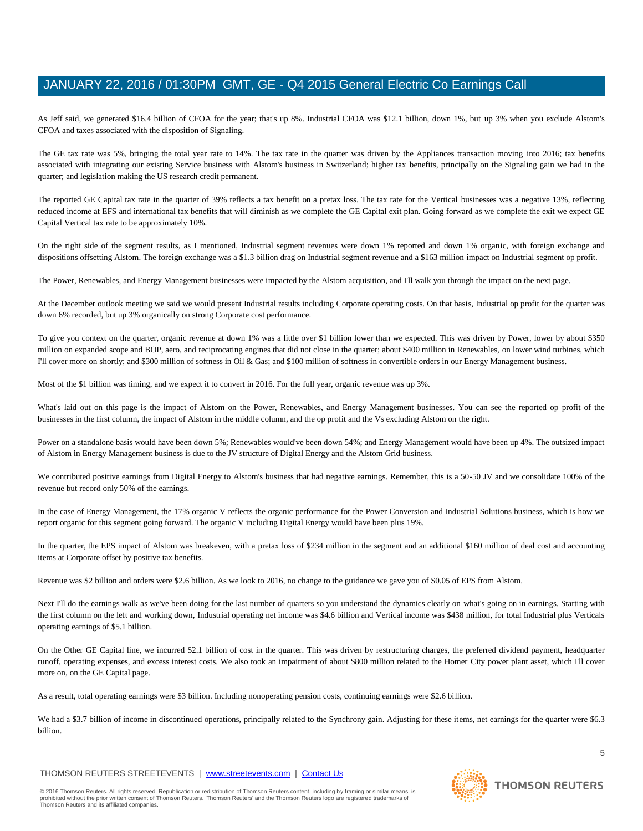As Jeff said, we generated \$16.4 billion of CFOA for the year; that's up 8%. Industrial CFOA was \$12.1 billion, down 1%, but up 3% when you exclude Alstom's CFOA and taxes associated with the disposition of Signaling.

The GE tax rate was 5%, bringing the total year rate to 14%. The tax rate in the quarter was driven by the Appliances transaction moving into 2016; tax benefits associated with integrating our existing Service business with Alstom's business in Switzerland; higher tax benefits, principally on the Signaling gain we had in the quarter; and legislation making the US research credit permanent.

The reported GE Capital tax rate in the quarter of 39% reflects a tax benefit on a pretax loss. The tax rate for the Vertical businesses was a negative 13%, reflecting reduced income at EFS and international tax benefits that will diminish as we complete the GE Capital exit plan. Going forward as we complete the exit we expect GE Capital Vertical tax rate to be approximately 10%.

On the right side of the segment results, as I mentioned, Industrial segment revenues were down 1% reported and down 1% organic, with foreign exchange and dispositions offsetting Alstom. The foreign exchange was a \$1.3 billion drag on Industrial segment revenue and a \$163 million impact on Industrial segment op profit.

The Power, Renewables, and Energy Management businesses were impacted by the Alstom acquisition, and I'll walk you through the impact on the next page.

At the December outlook meeting we said we would present Industrial results including Corporate operating costs. On that basis, Industrial op profit for the quarter was down 6% recorded, but up 3% organically on strong Corporate cost performance.

To give you context on the quarter, organic revenue at down 1% was a little over \$1 billion lower than we expected. This was driven by Power, lower by about \$350 million on expanded scope and BOP, aero, and reciprocating engines that did not close in the quarter; about \$400 million in Renewables, on lower wind turbines, which I'll cover more on shortly; and \$300 million of softness in Oil & Gas; and \$100 million of softness in convertible orders in our Energy Management business.

Most of the \$1 billion was timing, and we expect it to convert in 2016. For the full year, organic revenue was up 3%.

What's laid out on this page is the impact of Alstom on the Power, Renewables, and Energy Management businesses. You can see the reported op profit of the businesses in the first column, the impact of Alstom in the middle column, and the op profit and the Vs excluding Alstom on the right.

Power on a standalone basis would have been down 5%; Renewables would've been down 54%; and Energy Management would have been up 4%. The outsized impact of Alstom in Energy Management business is due to the JV structure of Digital Energy and the Alstom Grid business.

We contributed positive earnings from Digital Energy to Alstom's business that had negative earnings. Remember, this is a 50-50 JV and we consolidate 100% of the revenue but record only 50% of the earnings.

In the case of Energy Management, the 17% organic V reflects the organic performance for the Power Conversion and Industrial Solutions business, which is how we report organic for this segment going forward. The organic V including Digital Energy would have been plus 19%.

In the quarter, the EPS impact of Alstom was breakeven, with a pretax loss of \$234 million in the segment and an additional \$160 million of deal cost and accounting items at Corporate offset by positive tax benefits.

Revenue was \$2 billion and orders were \$2.6 billion. As we look to 2016, no change to the guidance we gave you of \$0.05 of EPS from Alstom.

Next I'll do the earnings walk as we've been doing for the last number of quarters so you understand the dynamics clearly on what's going on in earnings. Starting with the first column on the left and working down, Industrial operating net income was \$4.6 billion and Vertical income was \$438 million, for total Industrial plus Verticals operating earnings of \$5.1 billion.

On the Other GE Capital line, we incurred \$2.1 billion of cost in the quarter. This was driven by restructuring charges, the preferred dividend payment, headquarter runoff, operating expenses, and excess interest costs. We also took an impairment of about \$800 million related to the Homer City power plant asset, which I'll cover more on, on the GE Capital page.

As a result, total operating earnings were \$3 billion. Including nonoperating pension costs, continuing earnings were \$2.6 billion.

We had a \$3.7 billion of income in discontinued operations, principally related to the Synchrony gain. Adjusting for these items, net earnings for the quarter were \$6.3 billion.

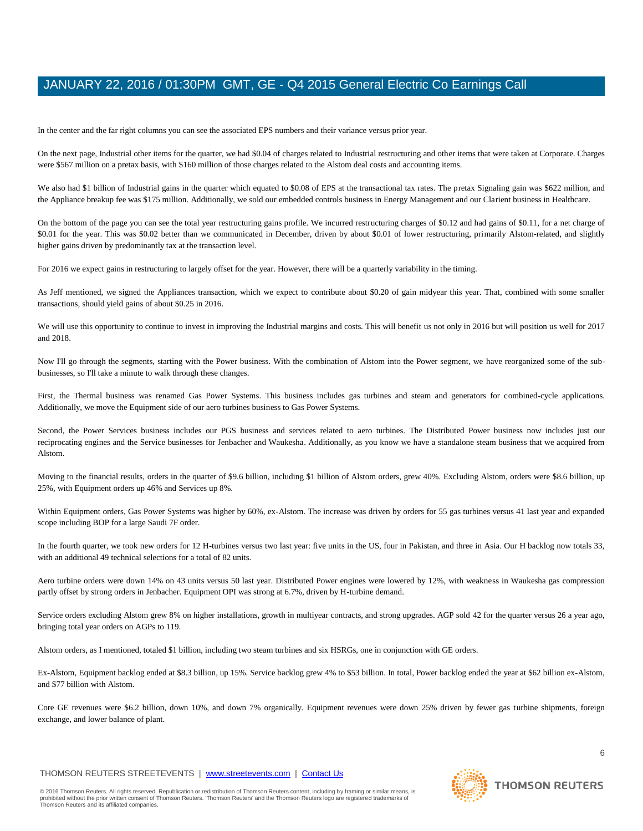In the center and the far right columns you can see the associated EPS numbers and their variance versus prior year.

On the next page, Industrial other items for the quarter, we had \$0.04 of charges related to Industrial restructuring and other items that were taken at Corporate. Charges were \$567 million on a pretax basis, with \$160 million of those charges related to the Alstom deal costs and accounting items.

We also had \$1 billion of Industrial gains in the quarter which equated to \$0.08 of EPS at the transactional tax rates. The pretax Signaling gain was \$622 million, and the Appliance breakup fee was \$175 million. Additionally, we sold our embedded controls business in Energy Management and our Clarient business in Healthcare.

On the bottom of the page you can see the total year restructuring gains profile. We incurred restructuring charges of \$0.12 and had gains of \$0.11, for a net charge of \$0.01 for the year. This was \$0.02 better than we communicated in December, driven by about \$0.01 of lower restructuring, primarily Alstom-related, and slightly higher gains driven by predominantly tax at the transaction level.

For 2016 we expect gains in restructuring to largely offset for the year. However, there will be a quarterly variability in the timing.

As Jeff mentioned, we signed the Appliances transaction, which we expect to contribute about \$0.20 of gain midyear this year. That, combined with some smaller transactions, should yield gains of about \$0.25 in 2016.

We will use this opportunity to continue to invest in improving the Industrial margins and costs. This will benefit us not only in 2016 but will position us well for 2017 and 2018.

Now I'll go through the segments, starting with the Power business. With the combination of Alstom into the Power segment, we have reorganized some of the subbusinesses, so I'll take a minute to walk through these changes.

First, the Thermal business was renamed Gas Power Systems. This business includes gas turbines and steam and generators for combined-cycle applications. Additionally, we move the Equipment side of our aero turbines business to Gas Power Systems.

Second, the Power Services business includes our PGS business and services related to aero turbines. The Distributed Power business now includes just our reciprocating engines and the Service businesses for Jenbacher and Waukesha. Additionally, as you know we have a standalone steam business that we acquired from Alstom.

Moving to the financial results, orders in the quarter of \$9.6 billion, including \$1 billion of Alstom orders, grew 40%. Excluding Alstom, orders were \$8.6 billion, up 25%, with Equipment orders up 46% and Services up 8%.

Within Equipment orders, Gas Power Systems was higher by 60%, ex-Alstom. The increase was driven by orders for 55 gas turbines versus 41 last year and expanded scope including BOP for a large Saudi 7F order.

In the fourth quarter, we took new orders for 12 H-turbines versus two last year: five units in the US, four in Pakistan, and three in Asia. Our H backlog now totals 33, with an additional 49 technical selections for a total of 82 units.

Aero turbine orders were down 14% on 43 units versus 50 last year. Distributed Power engines were lowered by 12%, with weakness in Waukesha gas compression partly offset by strong orders in Jenbacher. Equipment OPI was strong at 6.7%, driven by H-turbine demand.

Service orders excluding Alstom grew 8% on higher installations, growth in multiyear contracts, and strong upgrades. AGP sold 42 for the quarter versus 26 a year ago, bringing total year orders on AGPs to 119.

Alstom orders, as I mentioned, totaled \$1 billion, including two steam turbines and six HSRGs, one in conjunction with GE orders.

Ex-Alstom, Equipment backlog ended at \$8.3 billion, up 15%. Service backlog grew 4% to \$53 billion. In total, Power backlog ended the year at \$62 billion ex-Alstom, and \$77 billion with Alstom.

Core GE revenues were \$6.2 billion, down 10%, and down 7% organically. Equipment revenues were down 25% driven by fewer gas turbine shipments, foreign exchange, and lower balance of plant.

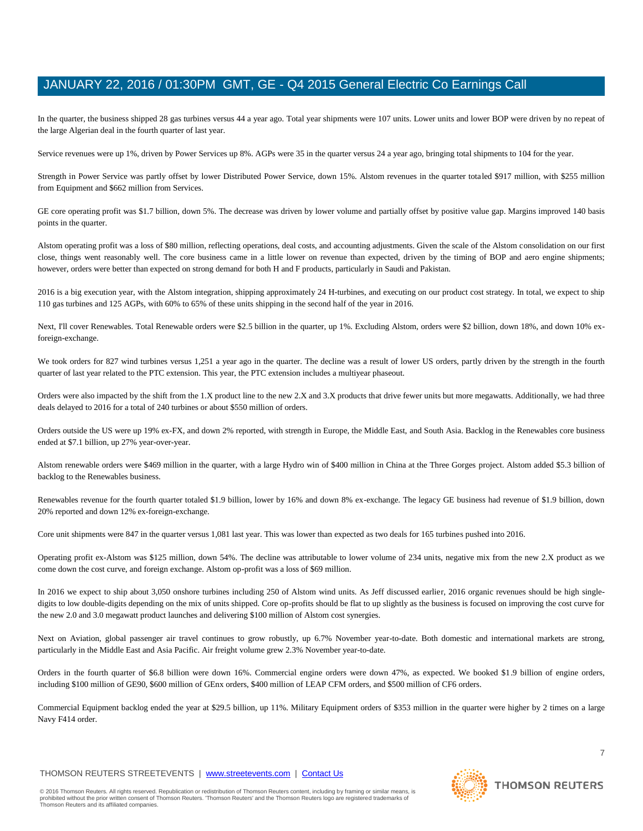In the quarter, the business shipped 28 gas turbines versus 44 a year ago. Total year shipments were 107 units. Lower units and lower BOP were driven by no repeat of the large Algerian deal in the fourth quarter of last year.

Service revenues were up 1%, driven by Power Services up 8%. AGPs were 35 in the quarter versus 24 a year ago, bringing total shipments to 104 for the year.

Strength in Power Service was partly offset by lower Distributed Power Service, down 15%. Alstom revenues in the quarter totaled \$917 million, with \$255 million from Equipment and \$662 million from Services.

GE core operating profit was \$1.7 billion, down 5%. The decrease was driven by lower volume and partially offset by positive value gap. Margins improved 140 basis points in the quarter.

Alstom operating profit was a loss of \$80 million, reflecting operations, deal costs, and accounting adjustments. Given the scale of the Alstom consolidation on our first close, things went reasonably well. The core business came in a little lower on revenue than expected, driven by the timing of BOP and aero engine shipments; however, orders were better than expected on strong demand for both H and F products, particularly in Saudi and Pakistan.

2016 is a big execution year, with the Alstom integration, shipping approximately 24 H-turbines, and executing on our product cost strategy. In total, we expect to ship 110 gas turbines and 125 AGPs, with 60% to 65% of these units shipping in the second half of the year in 2016.

Next, I'll cover Renewables. Total Renewable orders were \$2.5 billion in the quarter, up 1%. Excluding Alstom, orders were \$2 billion, down 18%, and down 10% exforeign-exchange.

We took orders for 827 wind turbines versus 1,251 a year ago in the quarter. The decline was a result of lower US orders, partly driven by the strength in the fourth quarter of last year related to the PTC extension. This year, the PTC extension includes a multiyear phaseout.

Orders were also impacted by the shift from the 1.X product line to the new 2.X and 3.X products that drive fewer units but more megawatts. Additionally, we had three deals delayed to 2016 for a total of 240 turbines or about \$550 million of orders.

Orders outside the US were up 19% ex-FX, and down 2% reported, with strength in Europe, the Middle East, and South Asia. Backlog in the Renewables core business ended at \$7.1 billion, up 27% year-over-year.

Alstom renewable orders were \$469 million in the quarter, with a large Hydro win of \$400 million in China at the Three Gorges project. Alstom added \$5.3 billion of backlog to the Renewables business.

Renewables revenue for the fourth quarter totaled \$1.9 billion, lower by 16% and down 8% ex-exchange. The legacy GE business had revenue of \$1.9 billion, down 20% reported and down 12% ex-foreign-exchange.

Core unit shipments were 847 in the quarter versus 1,081 last year. This was lower than expected as two deals for 165 turbines pushed into 2016.

Operating profit ex-Alstom was \$125 million, down 54%. The decline was attributable to lower volume of 234 units, negative mix from the new 2.X product as we come down the cost curve, and foreign exchange. Alstom op-profit was a loss of \$69 million.

In 2016 we expect to ship about 3,050 onshore turbines including 250 of Alstom wind units. As Jeff discussed earlier, 2016 organic revenues should be high singledigits to low double-digits depending on the mix of units shipped. Core op-profits should be flat to up slightly as the business is focused on improving the cost curve for the new 2.0 and 3.0 megawatt product launches and delivering \$100 million of Alstom cost synergies.

Next on Aviation, global passenger air travel continues to grow robustly, up 6.7% November year-to-date. Both domestic and international markets are strong, particularly in the Middle East and Asia Pacific. Air freight volume grew 2.3% November year-to-date.

Orders in the fourth quarter of \$6.8 billion were down 16%. Commercial engine orders were down 47%, as expected. We booked \$1.9 billion of engine orders, including \$100 million of GE90, \$600 million of GEnx orders, \$400 million of LEAP CFM orders, and \$500 million of CF6 orders.

Commercial Equipment backlog ended the year at \$29.5 billion, up 11%. Military Equipment orders of \$353 million in the quarter were higher by 2 times on a large Navy F414 order.

# THOMSON REUTERS STREETEVENTS | [www.streetevents.com](http://www.streetevents.com/) | [Contact Us](http://www010.streetevents.com/contact.asp)

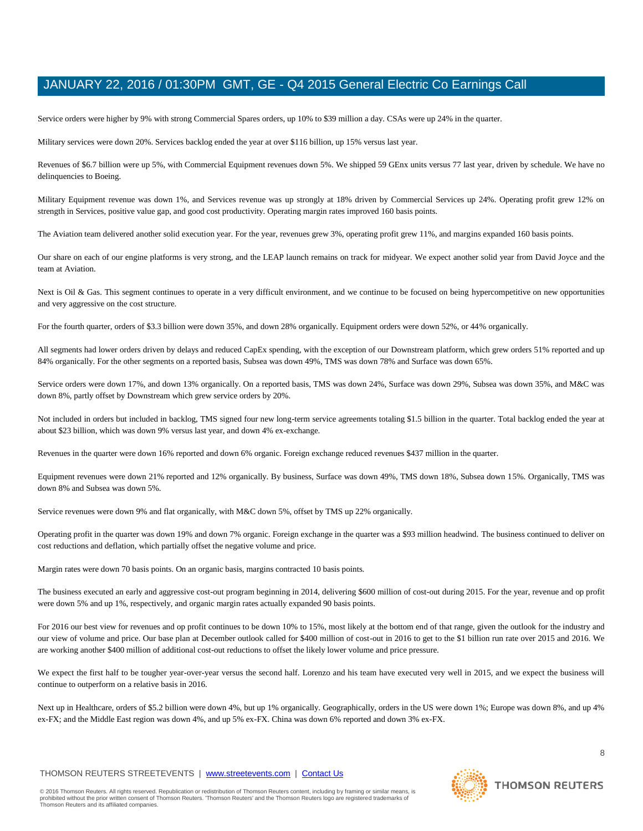Service orders were higher by 9% with strong Commercial Spares orders, up 10% to \$39 million a day. CSAs were up 24% in the quarter.

Military services were down 20%. Services backlog ended the year at over \$116 billion, up 15% versus last year.

Revenues of \$6.7 billion were up 5%, with Commercial Equipment revenues down 5%. We shipped 59 GEnx units versus 77 last year, driven by schedule. We have no delinquencies to Boeing.

Military Equipment revenue was down 1%, and Services revenue was up strongly at 18% driven by Commercial Services up 24%. Operating profit grew 12% on strength in Services, positive value gap, and good cost productivity. Operating margin rates improved 160 basis points.

The Aviation team delivered another solid execution year. For the year, revenues grew 3%, operating profit grew 11%, and margins expanded 160 basis points.

Our share on each of our engine platforms is very strong, and the LEAP launch remains on track for midyear. We expect another solid year from David Joyce and the team at Aviation.

Next is Oil & Gas. This segment continues to operate in a very difficult environment, and we continue to be focused on being hypercompetitive on new opportunities and very aggressive on the cost structure.

For the fourth quarter, orders of \$3.3 billion were down 35%, and down 28% organically. Equipment orders were down 52%, or 44% organically.

All segments had lower orders driven by delays and reduced CapEx spending, with the exception of our Downstream platform, which grew orders 51% reported and up 84% organically. For the other segments on a reported basis, Subsea was down 49%, TMS was down 78% and Surface was down 65%.

Service orders were down 17%, and down 13% organically. On a reported basis, TMS was down 24%, Surface was down 29%, Subsea was down 35%, and M&C was down 8%, partly offset by Downstream which grew service orders by 20%.

Not included in orders but included in backlog, TMS signed four new long-term service agreements totaling \$1.5 billion in the quarter. Total backlog ended the year at about \$23 billion, which was down 9% versus last year, and down 4% ex-exchange.

Revenues in the quarter were down 16% reported and down 6% organic. Foreign exchange reduced revenues \$437 million in the quarter.

Equipment revenues were down 21% reported and 12% organically. By business, Surface was down 49%, TMS down 18%, Subsea down 15%. Organically, TMS was down 8% and Subsea was down 5%.

Service revenues were down 9% and flat organically, with M&C down 5%, offset by TMS up 22% organically.

Operating profit in the quarter was down 19% and down 7% organic. Foreign exchange in the quarter was a \$93 million headwind. The business continued to deliver on cost reductions and deflation, which partially offset the negative volume and price.

Margin rates were down 70 basis points. On an organic basis, margins contracted 10 basis points.

The business executed an early and aggressive cost-out program beginning in 2014, delivering \$600 million of cost-out during 2015. For the year, revenue and op profit were down 5% and up 1%, respectively, and organic margin rates actually expanded 90 basis points.

For 2016 our best view for revenues and op profit continues to be down 10% to 15%, most likely at the bottom end of that range, given the outlook for the industry and our view of volume and price. Our base plan at December outlook called for \$400 million of cost-out in 2016 to get to the \$1 billion run rate over 2015 and 2016. We are working another \$400 million of additional cost-out reductions to offset the likely lower volume and price pressure.

We expect the first half to be tougher year-over-year versus the second half. Lorenzo and his team have executed very well in 2015, and we expect the business will continue to outperform on a relative basis in 2016.

Next up in Healthcare, orders of \$5.2 billion were down 4%, but up 1% organically. Geographically, orders in the US were down 1%; Europe was down 8%, and up 4% ex-FX; and the Middle East region was down 4%, and up 5% ex-FX. China was down 6% reported and down 3% ex-FX.

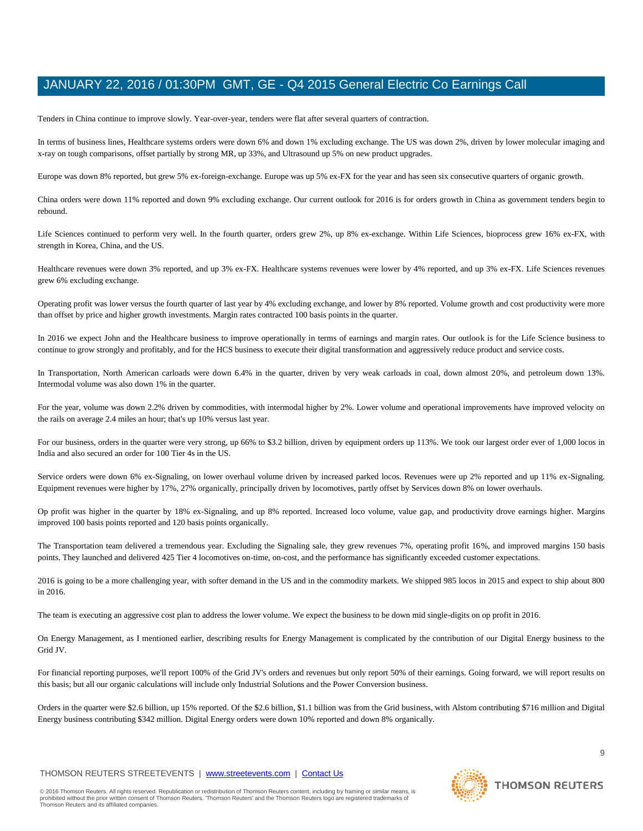Tenders in China continue to improve slowly. Year-over-year, tenders were flat after several quarters of contraction.

In terms of business lines, Healthcare systems orders were down 6% and down 1% excluding exchange. The US was down 2%, driven by lower molecular imaging and x-ray on tough comparisons, offset partially by strong MR, up 33%, and Ultrasound up 5% on new product upgrades.

Europe was down 8% reported, but grew 5% ex-foreign-exchange. Europe was up 5% ex-FX for the year and has seen six consecutive quarters of organic growth.

China orders were down 11% reported and down 9% excluding exchange. Our current outlook for 2016 is for orders growth in China as government tenders begin to rebound.

Life Sciences continued to perform very well. In the fourth quarter, orders grew 2%, up 8% ex-exchange. Within Life Sciences, bioprocess grew 16% ex-FX, with strength in Korea, China, and the US.

Healthcare revenues were down 3% reported, and up 3% ex-FX. Healthcare systems revenues were lower by 4% reported, and up 3% ex-FX. Life Sciences revenues grew 6% excluding exchange.

Operating profit was lower versus the fourth quarter of last year by 4% excluding exchange, and lower by 8% reported. Volume growth and cost productivity were more than offset by price and higher growth investments. Margin rates contracted 100 basis points in the quarter.

In 2016 we expect John and the Healthcare business to improve operationally in terms of earnings and margin rates. Our outlook is for the Life Science business to continue to grow strongly and profitably, and for the HCS business to execute their digital transformation and aggressively reduce product and service costs.

In Transportation, North American carloads were down 6.4% in the quarter, driven by very weak carloads in coal, down almost 20%, and petroleum down 13%. Intermodal volume was also down 1% in the quarter.

For the year, volume was down 2.2% driven by commodities, with intermodal higher by 2%. Lower volume and operational improvements have improved velocity on the rails on average 2.4 miles an hour; that's up 10% versus last year.

For our business, orders in the quarter were very strong, up 66% to \$3.2 billion, driven by equipment orders up 113%. We took our largest order ever of 1,000 locos in India and also secured an order for 100 Tier 4s in the US.

Service orders were down 6% ex-Signaling, on lower overhaul volume driven by increased parked locos. Revenues were up 2% reported and up 11% ex-Signaling. Equipment revenues were higher by 17%, 27% organically, principally driven by locomotives, partly offset by Services down 8% on lower overhauls.

Op profit was higher in the quarter by 18% ex-Signaling, and up 8% reported. Increased loco volume, value gap, and productivity drove earnings higher. Margins improved 100 basis points reported and 120 basis points organically.

The Transportation team delivered a tremendous year. Excluding the Signaling sale, they grew revenues 7%, operating profit 16%, and improved margins 150 basis points. They launched and delivered 425 Tier 4 locomotives on-time, on-cost, and the performance has significantly exceeded customer expectations.

2016 is going to be a more challenging year, with softer demand in the US and in the commodity markets. We shipped 985 locos in 2015 and expect to ship about 800 in 2016.

The team is executing an aggressive cost plan to address the lower volume. We expect the business to be down mid single-digits on op profit in 2016.

On Energy Management, as I mentioned earlier, describing results for Energy Management is complicated by the contribution of our Digital Energy business to the Grid JV.

For financial reporting purposes, we'll report 100% of the Grid JV's orders and revenues but only report 50% of their earnings. Going forward, we will report results on this basis; but all our organic calculations will include only Industrial Solutions and the Power Conversion business.

Orders in the quarter were \$2.6 billion, up 15% reported. Of the \$2.6 billion, \$1.1 billion was from the Grid business, with Alstom contributing \$716 million and Digital Energy business contributing \$342 million. Digital Energy orders were down 10% reported and down 8% organically.

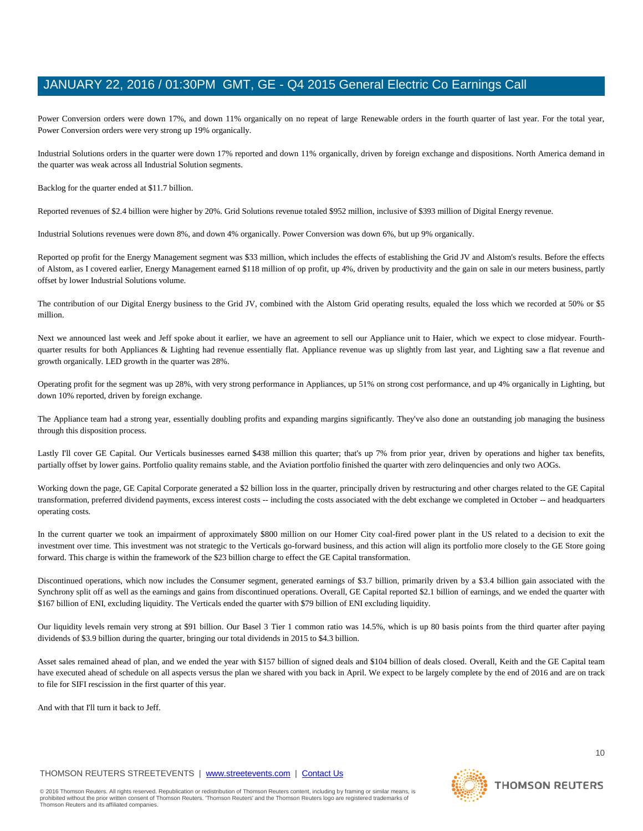Power Conversion orders were down 17%, and down 11% organically on no repeat of large Renewable orders in the fourth quarter of last year. For the total year, Power Conversion orders were very strong up 19% organically.

Industrial Solutions orders in the quarter were down 17% reported and down 11% organically, driven by foreign exchange and dispositions. North America demand in the quarter was weak across all Industrial Solution segments.

Backlog for the quarter ended at \$11.7 billion.

Reported revenues of \$2.4 billion were higher by 20%. Grid Solutions revenue totaled \$952 million, inclusive of \$393 million of Digital Energy revenue.

Industrial Solutions revenues were down 8%, and down 4% organically. Power Conversion was down 6%, but up 9% organically.

Reported op profit for the Energy Management segment was \$33 million, which includes the effects of establishing the Grid JV and Alstom's results. Before the effects of Alstom, as I covered earlier, Energy Management earned \$118 million of op profit, up 4%, driven by productivity and the gain on sale in our meters business, partly offset by lower Industrial Solutions volume.

The contribution of our Digital Energy business to the Grid JV, combined with the Alstom Grid operating results, equaled the loss which we recorded at 50% or \$5 million.

Next we announced last week and Jeff spoke about it earlier, we have an agreement to sell our Appliance unit to Haier, which we expect to close midyear. Fourthquarter results for both Appliances & Lighting had revenue essentially flat. Appliance revenue was up slightly from last year, and Lighting saw a flat revenue and growth organically. LED growth in the quarter was 28%.

Operating profit for the segment was up 28%, with very strong performance in Appliances, up 51% on strong cost performance, and up 4% organically in Lighting, but down 10% reported, driven by foreign exchange.

The Appliance team had a strong year, essentially doubling profits and expanding margins significantly. They've also done an outstanding job managing the business through this disposition process.

Lastly I'll cover GE Capital. Our Verticals businesses earned \$438 million this quarter; that's up 7% from prior year, driven by operations and higher tax benefits, partially offset by lower gains. Portfolio quality remains stable, and the Aviation portfolio finished the quarter with zero delinquencies and only two AOGs.

Working down the page, GE Capital Corporate generated a \$2 billion loss in the quarter, principally driven by restructuring and other charges related to the GE Capital transformation, preferred dividend payments, excess interest costs -- including the costs associated with the debt exchange we completed in October -- and headquarters operating costs.

In the current quarter we took an impairment of approximately \$800 million on our Homer City coal-fired power plant in the US related to a decision to exit the investment over time. This investment was not strategic to the Verticals go-forward business, and this action will align its portfolio more closely to the GE Store going forward. This charge is within the framework of the \$23 billion charge to effect the GE Capital transformation.

Discontinued operations, which now includes the Consumer segment, generated earnings of \$3.7 billion, primarily driven by a \$3.4 billion gain associated with the Synchrony split off as well as the earnings and gains from discontinued operations. Overall, GE Capital reported \$2.1 billion of earnings, and we ended the quarter with \$167 billion of ENI, excluding liquidity. The Verticals ended the quarter with \$79 billion of ENI excluding liquidity.

Our liquidity levels remain very strong at \$91 billion. Our Basel 3 Tier 1 common ratio was 14.5%, which is up 80 basis points from the third quarter after paying dividends of \$3.9 billion during the quarter, bringing our total dividends in 2015 to \$4.3 billion.

Asset sales remained ahead of plan, and we ended the year with \$157 billion of signed deals and \$104 billion of deals closed. Overall, Keith and the GE Capital team have executed ahead of schedule on all aspects versus the plan we shared with you back in April. We expect to be largely complete by the end of 2016 and are on track to file for SIFI rescission in the first quarter of this year.

And with that I'll turn it back to Jeff.

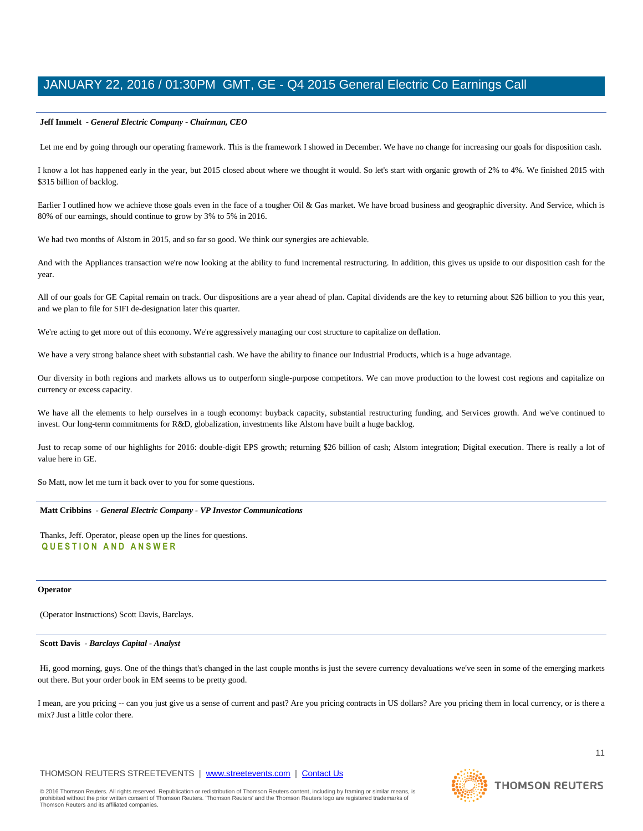#### **Jeff Immelt** *- General Electric Company - Chairman, CEO*

Let me end by going through our operating framework. This is the framework I showed in December. We have no change for increasing our goals for disposition cash.

I know a lot has happened early in the year, but 2015 closed about where we thought it would. So let's start with organic growth of 2% to 4%. We finished 2015 with \$315 billion of backlog.

Earlier I outlined how we achieve those goals even in the face of a tougher Oil & Gas market. We have broad business and geographic diversity. And Service, which is 80% of our earnings, should continue to grow by 3% to 5% in 2016.

We had two months of Alstom in 2015, and so far so good. We think our synergies are achievable.

And with the Appliances transaction we're now looking at the ability to fund incremental restructuring. In addition, this gives us upside to our disposition cash for the year.

All of our goals for GE Capital remain on track. Our dispositions are a year ahead of plan. Capital dividends are the key to returning about \$26 billion to you this year, and we plan to file for SIFI de-designation later this quarter.

We're acting to get more out of this economy. We're aggressively managing our cost structure to capitalize on deflation.

We have a very strong balance sheet with substantial cash. We have the ability to finance our Industrial Products, which is a huge advantage.

Our diversity in both regions and markets allows us to outperform single-purpose competitors. We can move production to the lowest cost regions and capitalize on currency or excess capacity.

We have all the elements to help ourselves in a tough economy: buyback capacity, substantial restructuring funding, and Services growth. And we've continued to invest. Our long-term commitments for R&D, globalization, investments like Alstom have built a huge backlog.

Just to recap some of our highlights for 2016: double-digit EPS growth; returning \$26 billion of cash; Alstom integration; Digital execution. There is really a lot of value here in GE.

So Matt, now let me turn it back over to you for some questions.

#### **Matt Cribbins** *- General Electric Company - VP Investor Communications*

Thanks, Jeff. Operator, please open up the lines for questions. **Q U E S T I O N A N D A N S W E R**

#### **Operator**

(Operator Instructions) Scott Davis, Barclays.

#### **Scott Davis** *- Barclays Capital - Analyst*

Hi, good morning, guys. One of the things that's changed in the last couple months is just the severe currency devaluations we've seen in some of the emerging markets out there. But your order book in EM seems to be pretty good.

I mean, are you pricing -- can you just give us a sense of current and past? Are you pricing contracts in US dollars? Are you pricing them in local currency, or is there a mix? Just a little color there.

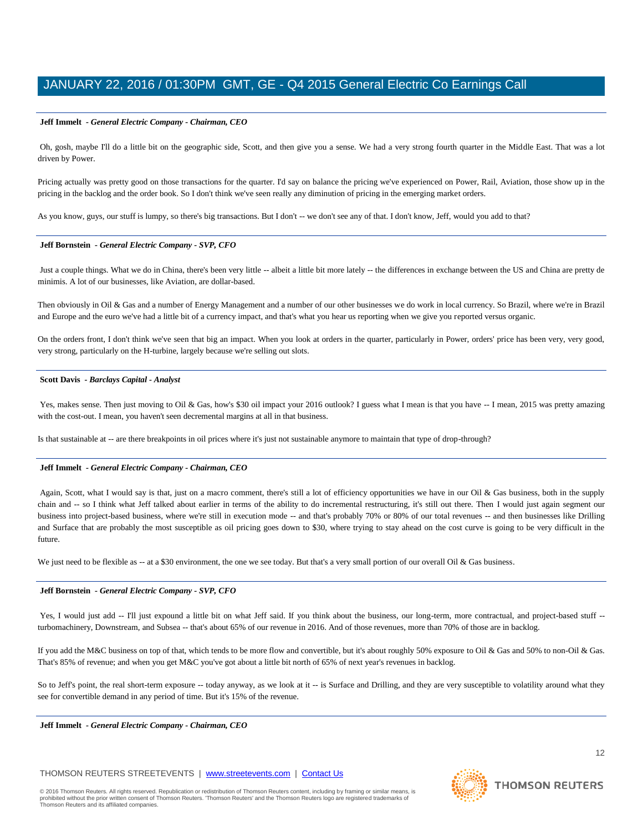#### **Jeff Immelt** *- General Electric Company - Chairman, CEO*

Oh, gosh, maybe I'll do a little bit on the geographic side, Scott, and then give you a sense. We had a very strong fourth quarter in the Middle East. That was a lot driven by Power.

Pricing actually was pretty good on those transactions for the quarter. I'd say on balance the pricing we've experienced on Power, Rail, Aviation, those show up in the pricing in the backlog and the order book. So I don't think we've seen really any diminution of pricing in the emerging market orders.

As you know, guys, our stuff is lumpy, so there's big transactions. But I don't -- we don't see any of that. I don't know, Jeff, would you add to that?

#### **Jeff Bornstein** *- General Electric Company - SVP, CFO*

Just a couple things. What we do in China, there's been very little -- albeit a little bit more lately -- the differences in exchange between the US and China are pretty de minimis. A lot of our businesses, like Aviation, are dollar-based.

Then obviously in Oil & Gas and a number of Energy Management and a number of our other businesses we do work in local currency. So Brazil, where we're in Brazil and Europe and the euro we've had a little bit of a currency impact, and that's what you hear us reporting when we give you reported versus organic.

On the orders front, I don't think we've seen that big an impact. When you look at orders in the quarter, particularly in Power, orders' price has been very, very good, very strong, particularly on the H-turbine, largely because we're selling out slots.

#### **Scott Davis** *- Barclays Capital - Analyst*

Yes, makes sense. Then just moving to Oil & Gas, how's \$30 oil impact your 2016 outlook? I guess what I mean is that you have -- I mean, 2015 was pretty amazing with the cost-out. I mean, you haven't seen decremental margins at all in that business.

Is that sustainable at -- are there breakpoints in oil prices where it's just not sustainable anymore to maintain that type of drop-through?

#### **Jeff Immelt** *- General Electric Company - Chairman, CEO*

Again, Scott, what I would say is that, just on a macro comment, there's still a lot of efficiency opportunities we have in our Oil & Gas business, both in the supply chain and -- so I think what Jeff talked about earlier in terms of the ability to do incremental restructuring, it's still out there. Then I would just again segment our business into project-based business, where we're still in execution mode -- and that's probably 70% or 80% of our total revenues -- and then businesses like Drilling and Surface that are probably the most susceptible as oil pricing goes down to \$30, where trying to stay ahead on the cost curve is going to be very difficult in the future.

We just need to be flexible as -- at a \$30 environment, the one we see today. But that's a very small portion of our overall Oil & Gas business.

#### **Jeff Bornstein** *- General Electric Company - SVP, CFO*

Yes, I would just add -- I'll just expound a little bit on what Jeff said. If you think about the business, our long-term, more contractual, and project-based stuff -turbomachinery, Downstream, and Subsea -- that's about 65% of our revenue in 2016. And of those revenues, more than 70% of those are in backlog.

If you add the M&C business on top of that, which tends to be more flow and convertible, but it's about roughly 50% exposure to Oil & Gas and 50% to non-Oil & Gas. That's 85% of revenue; and when you get M&C you've got about a little bit north of 65% of next year's revenues in backlog.

So to Jeff's point, the real short-term exposure -- today anyway, as we look at it -- is Surface and Drilling, and they are very susceptible to volatility around what they see for convertible demand in any period of time. But it's 15% of the revenue.

**Jeff Immelt** *- General Electric Company - Chairman, CEO* 

# THOMSON REUTERS STREETEVENTS | [www.streetevents.com](http://www.streetevents.com/) | [Contact Us](http://www010.streetevents.com/contact.asp)

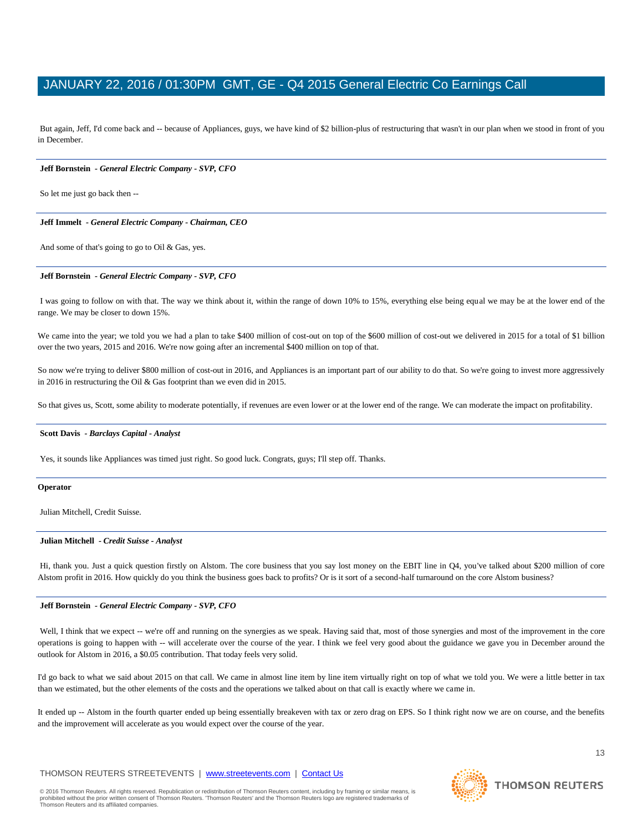But again, Jeff, I'd come back and -- because of Appliances, guys, we have kind of \$2 billion-plus of restructuring that wasn't in our plan when we stood in front of you in December.

#### **Jeff Bornstein** *- General Electric Company - SVP, CFO*

So let me just go back then --

#### **Jeff Immelt** *- General Electric Company - Chairman, CEO*

And some of that's going to go to Oil & Gas, yes.

#### **Jeff Bornstein** *- General Electric Company - SVP, CFO*

I was going to follow on with that. The way we think about it, within the range of down 10% to 15%, everything else being equal we may be at the lower end of the range. We may be closer to down 15%.

We came into the year; we told you we had a plan to take \$400 million of cost-out on top of the \$600 million of cost-out we delivered in 2015 for a total of \$1 billion over the two years, 2015 and 2016. We're now going after an incremental \$400 million on top of that.

So now we're trying to deliver \$800 million of cost-out in 2016, and Appliances is an important part of our ability to do that. So we're going to invest more aggressively in 2016 in restructuring the Oil & Gas footprint than we even did in 2015.

So that gives us, Scott, some ability to moderate potentially, if revenues are even lower or at the lower end of the range. We can moderate the impact on profitability.

#### **Scott Davis** *- Barclays Capital - Analyst*

Yes, it sounds like Appliances was timed just right. So good luck. Congrats, guys; I'll step off. Thanks.

#### **Operator**

Julian Mitchell, Credit Suisse.

#### **Julian Mitchell** *- Credit Suisse - Analyst*

Hi, thank you. Just a quick question firstly on Alstom. The core business that you say lost money on the EBIT line in Q4, you've talked about \$200 million of core Alstom profit in 2016. How quickly do you think the business goes back to profits? Or is it sort of a second-half turnaround on the core Alstom business?

#### **Jeff Bornstein** *- General Electric Company - SVP, CFO*

Well, I think that we expect -- we're off and running on the synergies as we speak. Having said that, most of those synergies and most of the improvement in the core operations is going to happen with -- will accelerate over the course of the year. I think we feel very good about the guidance we gave you in December around the outlook for Alstom in 2016, a \$0.05 contribution. That today feels very solid.

I'd go back to what we said about 2015 on that call. We came in almost line item by line item virtually right on top of what we told you. We were a little better in tax than we estimated, but the other elements of the costs and the operations we talked about on that call is exactly where we came in.

It ended up -- Alstom in the fourth quarter ended up being essentially breakeven with tax or zero drag on EPS. So I think right now we are on course, and the benefits and the improvement will accelerate as you would expect over the course of the year.

# THOMSON REUTERS STREETEVENTS | [www.streetevents.com](http://www.streetevents.com/) | [Contact Us](http://www010.streetevents.com/contact.asp)

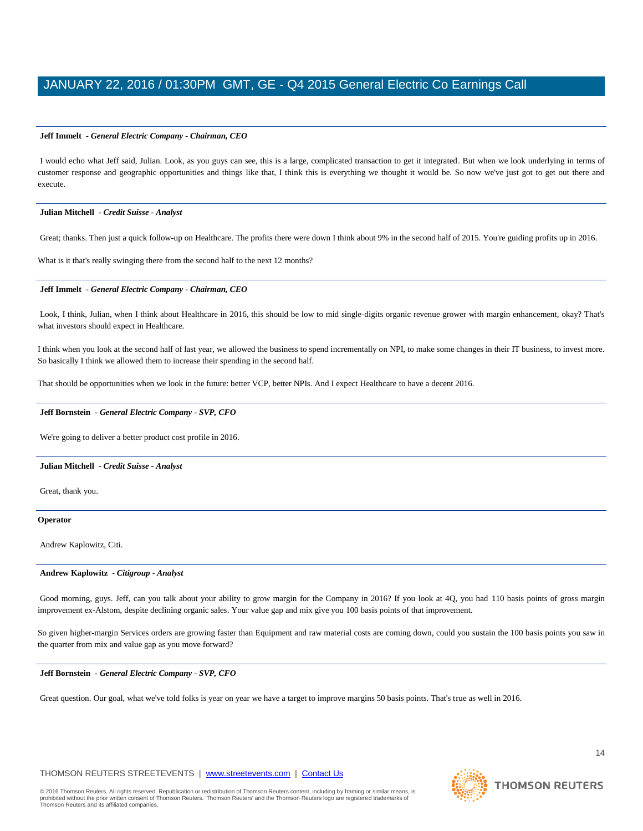#### **Jeff Immelt** *- General Electric Company - Chairman, CEO*

I would echo what Jeff said, Julian. Look, as you guys can see, this is a large, complicated transaction to get it integrated. But when we look underlying in terms of customer response and geographic opportunities and things like that, I think this is everything we thought it would be. So now we've just got to get out there and execute.

#### **Julian Mitchell** *- Credit Suisse - Analyst*

Great; thanks. Then just a quick follow-up on Healthcare. The profits there were down I think about 9% in the second half of 2015. You're guiding profits up in 2016.

What is it that's really swinging there from the second half to the next 12 months?

### **Jeff Immelt** *- General Electric Company - Chairman, CEO*

Look, I think, Julian, when I think about Healthcare in 2016, this should be low to mid single-digits organic revenue grower with margin enhancement, okay? That's what investors should expect in Healthcare.

I think when you look at the second half of last year, we allowed the business to spend incrementally on NPI, to make some changes in their IT business, to invest more. So basically I think we allowed them to increase their spending in the second half.

That should be opportunities when we look in the future: better VCP, better NPIs. And I expect Healthcare to have a decent 2016.

#### **Jeff Bornstein** *- General Electric Company - SVP, CFO*

We're going to deliver a better product cost profile in 2016.

### **Julian Mitchell** *- Credit Suisse - Analyst*

Great, thank you.

#### **Operator**

Andrew Kaplowitz, Citi.

#### **Andrew Kaplowitz** *- Citigroup - Analyst*

Good morning, guys. Jeff, can you talk about your ability to grow margin for the Company in 2016? If you look at 4Q, you had 110 basis points of gross margin improvement ex-Alstom, despite declining organic sales. Your value gap and mix give you 100 basis points of that improvement.

So given higher-margin Services orders are growing faster than Equipment and raw material costs are coming down, could you sustain the 100 basis points you saw in the quarter from mix and value gap as you move forward?

### **Jeff Bornstein** *- General Electric Company - SVP, CFO*

Great question. Our goal, what we've told folks is year on year we have a target to improve margins 50 basis points. That's true as well in 2016.

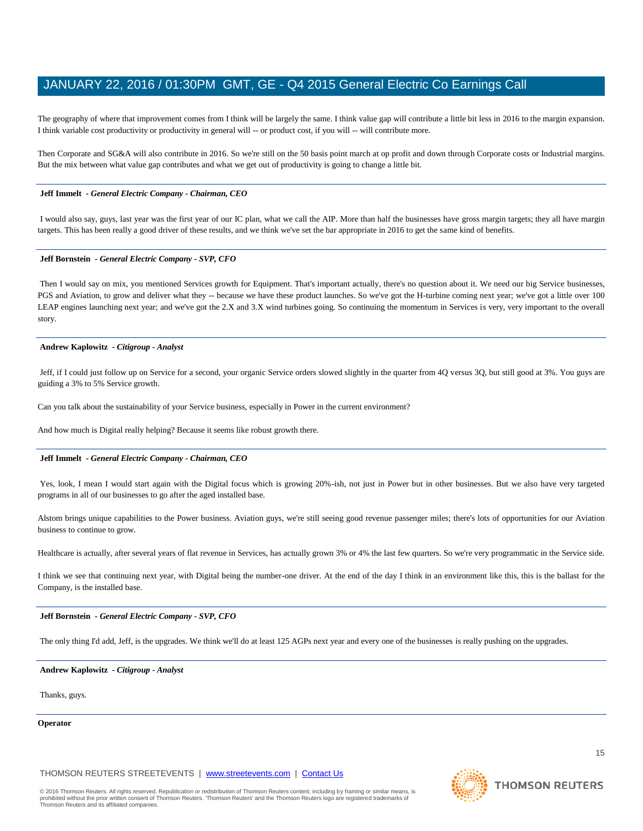The geography of where that improvement comes from I think will be largely the same. I think value gap will contribute a little bit less in 2016 to the margin expansion. I think variable cost productivity or productivity in general will -- or product cost, if you will -- will contribute more.

Then Corporate and SG&A will also contribute in 2016. So we're still on the 50 basis point march at op profit and down through Corporate costs or Industrial margins. But the mix between what value gap contributes and what we get out of productivity is going to change a little bit.

#### **Jeff Immelt** *- General Electric Company - Chairman, CEO*

I would also say, guys, last year was the first year of our IC plan, what we call the AIP. More than half the businesses have gross margin targets; they all have margin targets. This has been really a good driver of these results, and we think we've set the bar appropriate in 2016 to get the same kind of benefits.

#### **Jeff Bornstein** *- General Electric Company - SVP, CFO*

Then I would say on mix, you mentioned Services growth for Equipment. That's important actually, there's no question about it. We need our big Service businesses, PGS and Aviation, to grow and deliver what they -- because we have these product launches. So we've got the H-turbine coming next year; we've got a little over 100 LEAP engines launching next year; and we've got the 2.X and 3.X wind turbines going. So continuing the momentum in Services is very, very important to the overall story.

#### **Andrew Kaplowitz** *- Citigroup - Analyst*

Jeff, if I could just follow up on Service for a second, your organic Service orders slowed slightly in the quarter from 4Q versus 3Q, but still good at 3%. You guys are guiding a 3% to 5% Service growth.

Can you talk about the sustainability of your Service business, especially in Power in the current environment?

And how much is Digital really helping? Because it seems like robust growth there.

#### **Jeff Immelt** *- General Electric Company - Chairman, CEO*

Yes, look, I mean I would start again with the Digital focus which is growing 20%-ish, not just in Power but in other businesses. But we also have very targeted programs in all of our businesses to go after the aged installed base.

Alstom brings unique capabilities to the Power business. Aviation guys, we're still seeing good revenue passenger miles; there's lots of opportunities for our Aviation business to continue to grow.

Healthcare is actually, after several years of flat revenue in Services, has actually grown 3% or 4% the last few quarters. So we're very programmatic in the Service side.

I think we see that continuing next year, with Digital being the number-one driver. At the end of the day I think in an environment like this, this is the ballast for the Company, is the installed base.

#### **Jeff Bornstein** *- General Electric Company - SVP, CFO*

The only thing I'd add, Jeff, is the upgrades. We think we'll do at least 125 AGPs next year and every one of the businesses is really pushing on the upgrades.

#### **Andrew Kaplowitz** *- Citigroup - Analyst*

Thanks, guys.

#### **Operator**

THOMSON REUTERS STREETEVENTS | [www.streetevents.com](http://www.streetevents.com/) | [Contact Us](http://www010.streetevents.com/contact.asp)

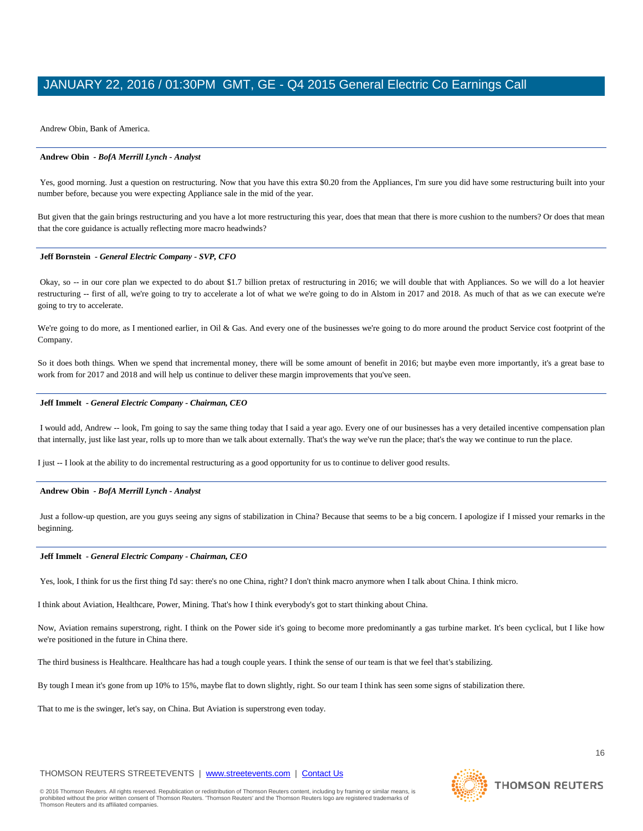Andrew Obin, Bank of America.

### **Andrew Obin** *- BofA Merrill Lynch - Analyst*

Yes, good morning. Just a question on restructuring. Now that you have this extra \$0.20 from the Appliances, I'm sure you did have some restructuring built into your number before, because you were expecting Appliance sale in the mid of the year.

But given that the gain brings restructuring and you have a lot more restructuring this year, does that mean that there is more cushion to the numbers? Or does that mean that the core guidance is actually reflecting more macro headwinds?

#### **Jeff Bornstein** *- General Electric Company - SVP, CFO*

Okay, so -- in our core plan we expected to do about \$1.7 billion pretax of restructuring in 2016; we will double that with Appliances. So we will do a lot heavier restructuring -- first of all, we're going to try to accelerate a lot of what we we're going to do in Alstom in 2017 and 2018. As much of that as we can execute we're going to try to accelerate.

We're going to do more, as I mentioned earlier, in Oil & Gas. And every one of the businesses we're going to do more around the product Service cost footprint of the Company.

So it does both things. When we spend that incremental money, there will be some amount of benefit in 2016; but maybe even more importantly, it's a great base to work from for 2017 and 2018 and will help us continue to deliver these margin improvements that you've seen.

#### **Jeff Immelt** *- General Electric Company - Chairman, CEO*

I would add, Andrew -- look, I'm going to say the same thing today that I said a year ago. Every one of our businesses has a very detailed incentive compensation plan that internally, just like last year, rolls up to more than we talk about externally. That's the way we've run the place; that's the way we continue to run the place.

I just -- I look at the ability to do incremental restructuring as a good opportunity for us to continue to deliver good results.

#### **Andrew Obin** *- BofA Merrill Lynch - Analyst*

Just a follow-up question, are you guys seeing any signs of stabilization in China? Because that seems to be a big concern. I apologize if I missed your remarks in the beginning.

#### **Jeff Immelt** *- General Electric Company - Chairman, CEO*

Yes, look, I think for us the first thing I'd say: there's no one China, right? I don't think macro anymore when I talk about China. I think micro.

I think about Aviation, Healthcare, Power, Mining. That's how I think everybody's got to start thinking about China.

Now, Aviation remains superstrong, right. I think on the Power side it's going to become more predominantly a gas turbine market. It's been cyclical, but I like how we're positioned in the future in China there.

The third business is Healthcare. Healthcare has had a tough couple years. I think the sense of our team is that we feel that's stabilizing.

By tough I mean it's gone from up 10% to 15%, maybe flat to down slightly, right. So our team I think has seen some signs of stabilization there.

That to me is the swinger, let's say, on China. But Aviation is superstrong even today.

# THOMSON REUTERS STREETEVENTS | [www.streetevents.com](http://www.streetevents.com/) | [Contact Us](http://www010.streetevents.com/contact.asp)

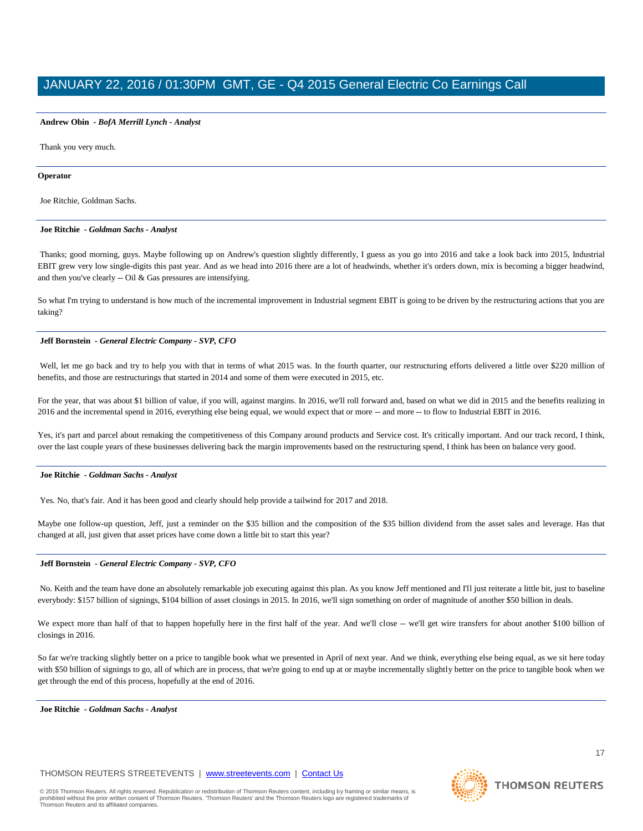#### **Andrew Obin** *- BofA Merrill Lynch - Analyst*

Thank you very much.

#### **Operator**

Joe Ritchie, Goldman Sachs.

#### **Joe Ritchie** *- Goldman Sachs - Analyst*

Thanks; good morning, guys. Maybe following up on Andrew's question slightly differently, I guess as you go into 2016 and take a look back into 2015, Industrial EBIT grew very low single-digits this past year. And as we head into 2016 there are a lot of headwinds, whether it's orders down, mix is becoming a bigger headwind, and then you've clearly -- Oil & Gas pressures are intensifying.

So what I'm trying to understand is how much of the incremental improvement in Industrial segment EBIT is going to be driven by the restructuring actions that you are taking?

#### **Jeff Bornstein** *- General Electric Company - SVP, CFO*

Well, let me go back and try to help you with that in terms of what 2015 was. In the fourth quarter, our restructuring efforts delivered a little over \$220 million of benefits, and those are restructurings that started in 2014 and some of them were executed in 2015, etc.

For the year, that was about \$1 billion of value, if you will, against margins. In 2016, we'll roll forward and, based on what we did in 2015 and the benefits realizing in 2016 and the incremental spend in 2016, everything else being equal, we would expect that or more -- and more -- to flow to Industrial EBIT in 2016.

Yes, it's part and parcel about remaking the competitiveness of this Company around products and Service cost. It's critically important. And our track record, I think, over the last couple years of these businesses delivering back the margin improvements based on the restructuring spend, I think has been on balance very good.

#### **Joe Ritchie** *- Goldman Sachs - Analyst*

Yes. No, that's fair. And it has been good and clearly should help provide a tailwind for 2017 and 2018.

Maybe one follow-up question, Jeff, just a reminder on the \$35 billion and the composition of the \$35 billion dividend from the asset sales and leverage. Has that changed at all, just given that asset prices have come down a little bit to start this year?

#### **Jeff Bornstein** *- General Electric Company - SVP, CFO*

No. Keith and the team have done an absolutely remarkable job executing against this plan. As you know Jeff mentioned and I'll just reiterate a little bit, just to baseline everybody: \$157 billion of signings, \$104 billion of asset closings in 2015. In 2016, we'll sign something on order of magnitude of another \$50 billion in deals.

We expect more than half of that to happen hopefully here in the first half of the year. And we'll close -- we'll get wire transfers for about another \$100 billion of closings in 2016.

So far we're tracking slightly better on a price to tangible book what we presented in April of next year. And we think, everything else being equal, as we sit here today with \$50 billion of signings to go, all of which are in process, that we're going to end up at or maybe incrementally slightly better on the price to tangible book when we get through the end of this process, hopefully at the end of 2016.

**Joe Ritchie** *- Goldman Sachs - Analyst* 

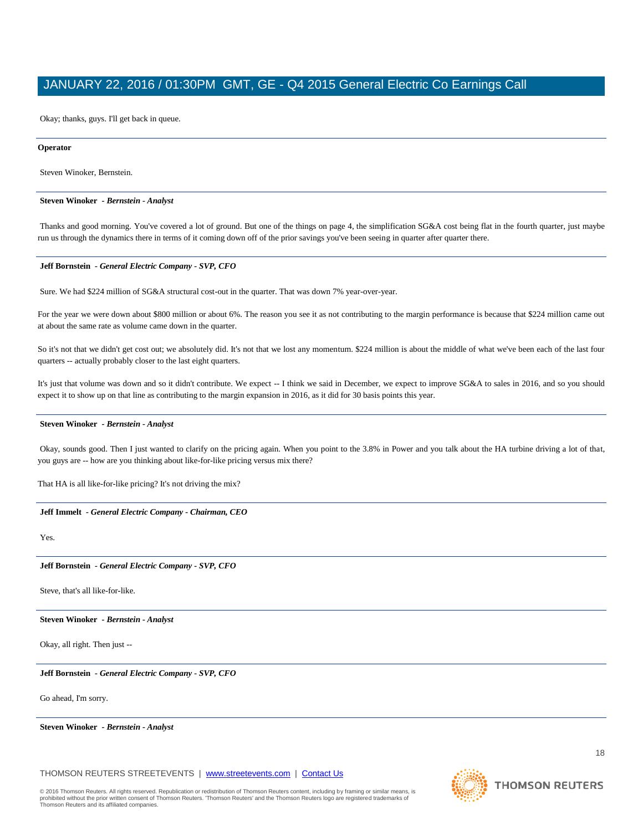Okay; thanks, guys. I'll get back in queue.

#### **Operator**

Steven Winoker, Bernstein.

#### **Steven Winoker** *- Bernstein - Analyst*

Thanks and good morning. You've covered a lot of ground. But one of the things on page 4, the simplification SG&A cost being flat in the fourth quarter, just maybe run us through the dynamics there in terms of it coming down off of the prior savings you've been seeing in quarter after quarter there.

#### **Jeff Bornstein** *- General Electric Company - SVP, CFO*

Sure. We had \$224 million of SG&A structural cost-out in the quarter. That was down 7% year-over-year.

For the year we were down about \$800 million or about 6%. The reason you see it as not contributing to the margin performance is because that \$224 million came out at about the same rate as volume came down in the quarter.

So it's not that we didn't get cost out; we absolutely did. It's not that we lost any momentum. \$224 million is about the middle of what we've been each of the last four quarters -- actually probably closer to the last eight quarters.

It's just that volume was down and so it didn't contribute. We expect -- I think we said in December, we expect to improve SG&A to sales in 2016, and so you should expect it to show up on that line as contributing to the margin expansion in 2016, as it did for 30 basis points this year.

#### **Steven Winoker** *- Bernstein - Analyst*

Okay, sounds good. Then I just wanted to clarify on the pricing again. When you point to the 3.8% in Power and you talk about the HA turbine driving a lot of that, you guys are -- how are you thinking about like-for-like pricing versus mix there?

That HA is all like-for-like pricing? It's not driving the mix?

#### **Jeff Immelt** *- General Electric Company - Chairman, CEO*

Yes.

#### **Jeff Bornstein** *- General Electric Company - SVP, CFO*

Steve, that's all like-for-like.

#### **Steven Winoker** *- Bernstein - Analyst*

Okay, all right. Then just --

**Jeff Bornstein** *- General Electric Company - SVP, CFO* 

Go ahead, I'm sorry.

**Steven Winoker** *- Bernstein - Analyst* 

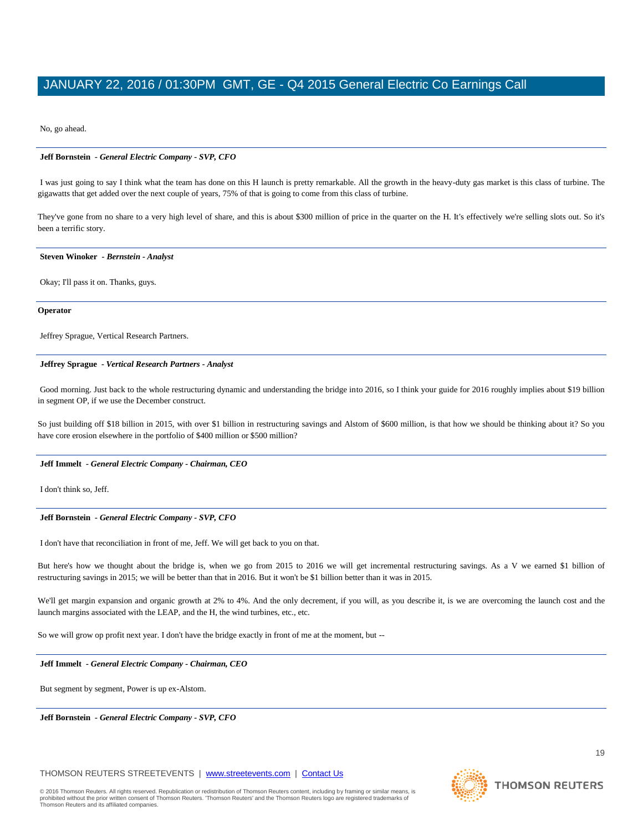No, go ahead.

### **Jeff Bornstein** *- General Electric Company - SVP, CFO*

I was just going to say I think what the team has done on this H launch is pretty remarkable. All the growth in the heavy-duty gas market is this class of turbine. The gigawatts that get added over the next couple of years, 75% of that is going to come from this class of turbine.

They've gone from no share to a very high level of share, and this is about \$300 million of price in the quarter on the H. It's effectively we're selling slots out. So it's been a terrific story.

#### **Steven Winoker** *- Bernstein - Analyst*

Okay; I'll pass it on. Thanks, guys.

#### **Operator**

Jeffrey Sprague, Vertical Research Partners.

### **Jeffrey Sprague** *- Vertical Research Partners - Analyst*

Good morning. Just back to the whole restructuring dynamic and understanding the bridge into 2016, so I think your guide for 2016 roughly implies about \$19 billion in segment OP, if we use the December construct.

So just building off \$18 billion in 2015, with over \$1 billion in restructuring savings and Alstom of \$600 million, is that how we should be thinking about it? So you have core erosion elsewhere in the portfolio of \$400 million or \$500 million?

### **Jeff Immelt** *- General Electric Company - Chairman, CEO*

I don't think so, Jeff.

**Jeff Bornstein** *- General Electric Company - SVP, CFO* 

I don't have that reconciliation in front of me, Jeff. We will get back to you on that.

But here's how we thought about the bridge is, when we go from 2015 to 2016 we will get incremental restructuring savings. As a V we earned \$1 billion of restructuring savings in 2015; we will be better than that in 2016. But it won't be \$1 billion better than it was in 2015.

We'll get margin expansion and organic growth at 2% to 4%. And the only decrement, if you will, as you describe it, is we are overcoming the launch cost and the launch margins associated with the LEAP, and the H, the wind turbines, etc., etc.

So we will grow op profit next year. I don't have the bridge exactly in front of me at the moment, but --

#### **Jeff Immelt** *- General Electric Company - Chairman, CEO*

But segment by segment, Power is up ex-Alstom.

**Jeff Bornstein** *- General Electric Company - SVP, CFO* 

# THOMSON REUTERS STREETEVENTS | [www.streetevents.com](http://www.streetevents.com/) | [Contact Us](http://www010.streetevents.com/contact.asp)

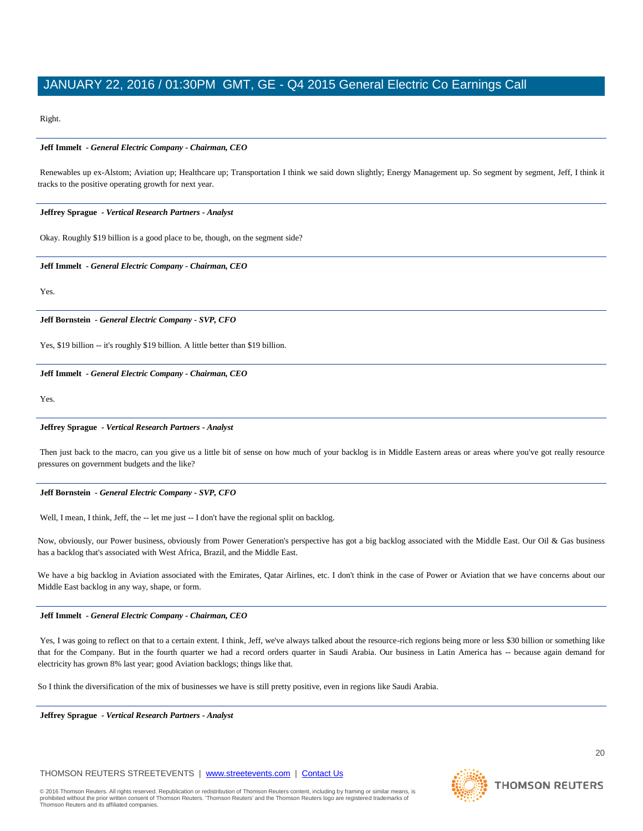Right.

### **Jeff Immelt** *- General Electric Company - Chairman, CEO*

Renewables up ex-Alstom; Aviation up; Healthcare up; Transportation I think we said down slightly; Energy Management up. So segment by segment, Jeff, I think it tracks to the positive operating growth for next year.

### **Jeffrey Sprague** *- Vertical Research Partners - Analyst*

Okay. Roughly \$19 billion is a good place to be, though, on the segment side?

**Jeff Immelt** *- General Electric Company - Chairman, CEO* 

Yes.

**Jeff Bornstein** *- General Electric Company - SVP, CFO* 

Yes, \$19 billion -- it's roughly \$19 billion. A little better than \$19 billion.

### **Jeff Immelt** *- General Electric Company - Chairman, CEO*

Yes.

#### **Jeffrey Sprague** *- Vertical Research Partners - Analyst*

Then just back to the macro, can you give us a little bit of sense on how much of your backlog is in Middle Eastern areas or areas where you've got really resource pressures on government budgets and the like?

### **Jeff Bornstein** *- General Electric Company - SVP, CFO*

Well, I mean, I think, Jeff, the -- let me just -- I don't have the regional split on backlog.

Now, obviously, our Power business, obviously from Power Generation's perspective has got a big backlog associated with the Middle East. Our Oil & Gas business has a backlog that's associated with West Africa, Brazil, and the Middle East.

We have a big backlog in Aviation associated with the Emirates, Qatar Airlines, etc. I don't think in the case of Power or Aviation that we have concerns about our Middle East backlog in any way, shape, or form.

### **Jeff Immelt** *- General Electric Company - Chairman, CEO*

Yes, I was going to reflect on that to a certain extent. I think, Jeff, we've always talked about the resource-rich regions being more or less \$30 billion or something like that for the Company. But in the fourth quarter we had a record orders quarter in Saudi Arabia. Our business in Latin America has -- because again demand for electricity has grown 8% last year; good Aviation backlogs; things like that.

So I think the diversification of the mix of businesses we have is still pretty positive, even in regions like Saudi Arabia.

**Jeffrey Sprague** *- Vertical Research Partners - Analyst* 

# THOMSON REUTERS STREETEVENTS | [www.streetevents.com](http://www.streetevents.com/) | [Contact Us](http://www010.streetevents.com/contact.asp)

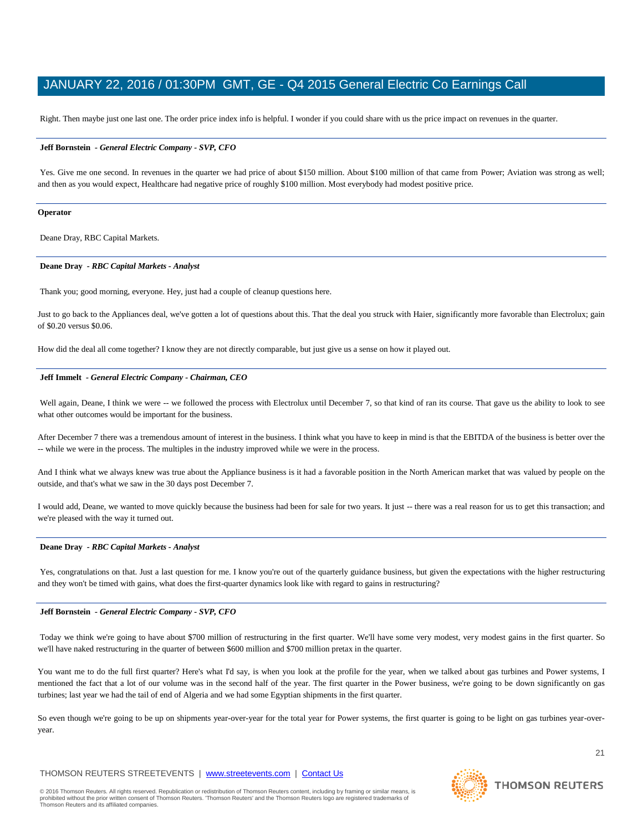Right. Then maybe just one last one. The order price index info is helpful. I wonder if you could share with us the price impact on revenues in the quarter.

#### **Jeff Bornstein** *- General Electric Company - SVP, CFO*

Yes. Give me one second. In revenues in the quarter we had price of about \$150 million. About \$100 million of that came from Power; Aviation was strong as well; and then as you would expect, Healthcare had negative price of roughly \$100 million. Most everybody had modest positive price.

#### **Operator**

Deane Dray, RBC Capital Markets.

#### **Deane Dray** *- RBC Capital Markets - Analyst*

Thank you; good morning, everyone. Hey, just had a couple of cleanup questions here.

Just to go back to the Appliances deal, we've gotten a lot of questions about this. That the deal you struck with Haier, significantly more favorable than Electrolux; gain of \$0.20 versus \$0.06.

How did the deal all come together? I know they are not directly comparable, but just give us a sense on how it played out.

#### **Jeff Immelt** *- General Electric Company - Chairman, CEO*

Well again, Deane, I think we were -- we followed the process with Electrolux until December 7, so that kind of ran its course. That gave us the ability to look to see what other outcomes would be important for the business.

After December 7 there was a tremendous amount of interest in the business. I think what you have to keep in mind is that the EBITDA of the business is better over the -- while we were in the process. The multiples in the industry improved while we were in the process.

And I think what we always knew was true about the Appliance business is it had a favorable position in the North American market that was valued by people on the outside, and that's what we saw in the 30 days post December 7.

I would add, Deane, we wanted to move quickly because the business had been for sale for two years. It just -- there was a real reason for us to get this transaction; and we're pleased with the way it turned out.

#### **Deane Dray** *- RBC Capital Markets - Analyst*

Yes, congratulations on that. Just a last question for me. I know you're out of the quarterly guidance business, but given the expectations with the higher restructuring and they won't be timed with gains, what does the first-quarter dynamics look like with regard to gains in restructuring?

#### **Jeff Bornstein** *- General Electric Company - SVP, CFO*

Today we think we're going to have about \$700 million of restructuring in the first quarter. We'll have some very modest, very modest gains in the first quarter. So we'll have naked restructuring in the quarter of between \$600 million and \$700 million pretax in the quarter.

You want me to do the full first quarter? Here's what I'd say, is when you look at the profile for the year, when we talked about gas turbines and Power systems, I mentioned the fact that a lot of our volume was in the second half of the year. The first quarter in the Power business, we're going to be down significantly on gas turbines; last year we had the tail of end of Algeria and we had some Egyptian shipments in the first quarter.

So even though we're going to be up on shipments year-over-year for the total year for Power systems, the first quarter is going to be light on gas turbines year-overyear.

### THOMSON REUTERS STREETEVENTS | [www.streetevents.com](http://www.streetevents.com/) | [Contact Us](http://www010.streetevents.com/contact.asp)

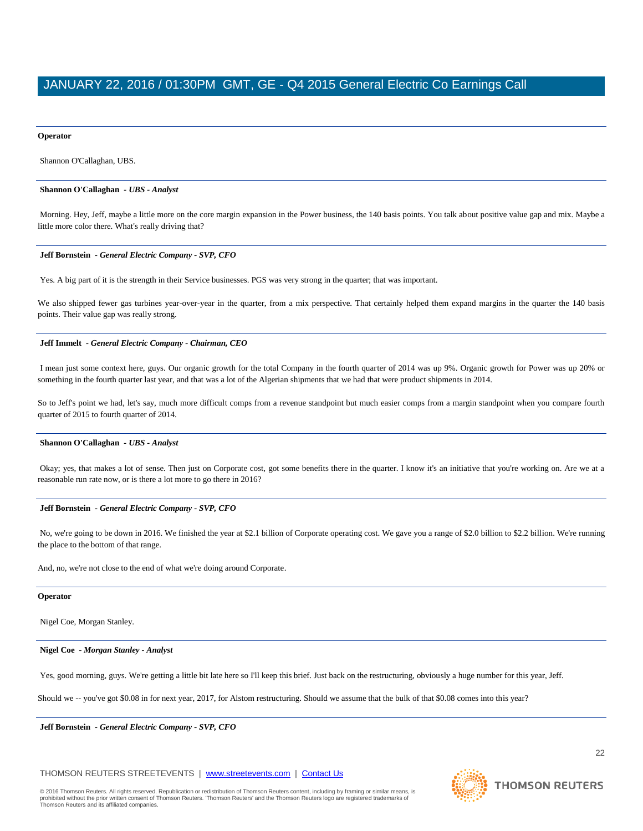#### **Operator**

Shannon O'Callaghan, UBS.

#### **Shannon O'Callaghan** *- UBS - Analyst*

Morning. Hey, Jeff, maybe a little more on the core margin expansion in the Power business, the 140 basis points. You talk about positive value gap and mix. Maybe a little more color there. What's really driving that?

#### **Jeff Bornstein** *- General Electric Company - SVP, CFO*

Yes. A big part of it is the strength in their Service businesses. PGS was very strong in the quarter; that was important.

We also shipped fewer gas turbines year-over-year in the quarter, from a mix perspective. That certainly helped them expand margins in the quarter the 140 basis points. Their value gap was really strong.

#### **Jeff Immelt** *- General Electric Company - Chairman, CEO*

I mean just some context here, guys. Our organic growth for the total Company in the fourth quarter of 2014 was up 9%. Organic growth for Power was up 20% or something in the fourth quarter last year, and that was a lot of the Algerian shipments that we had that were product shipments in 2014.

So to Jeff's point we had, let's say, much more difficult comps from a revenue standpoint but much easier comps from a margin standpoint when you compare fourth quarter of 2015 to fourth quarter of 2014.

#### **Shannon O'Callaghan** *- UBS - Analyst*

Okay; yes, that makes a lot of sense. Then just on Corporate cost, got some benefits there in the quarter. I know it's an initiative that you're working on. Are we at a reasonable run rate now, or is there a lot more to go there in 2016?

#### **Jeff Bornstein** *- General Electric Company - SVP, CFO*

No, we're going to be down in 2016. We finished the year at \$2.1 billion of Corporate operating cost. We gave you a range of \$2.0 billion to \$2.2 billion. We're running the place to the bottom of that range.

And, no, we're not close to the end of what we're doing around Corporate.

#### **Operator**

Nigel Coe, Morgan Stanley.

#### **Nigel Coe** *- Morgan Stanley - Analyst*

Yes, good morning, guys. We're getting a little bit late here so I'll keep this brief. Just back on the restructuring, obviously a huge number for this year, Jeff.

Should we -- you've got \$0.08 in for next year, 2017, for Alstom restructuring. Should we assume that the bulk of that \$0.08 comes into this year?

**Jeff Bornstein** *- General Electric Company - SVP, CFO* 

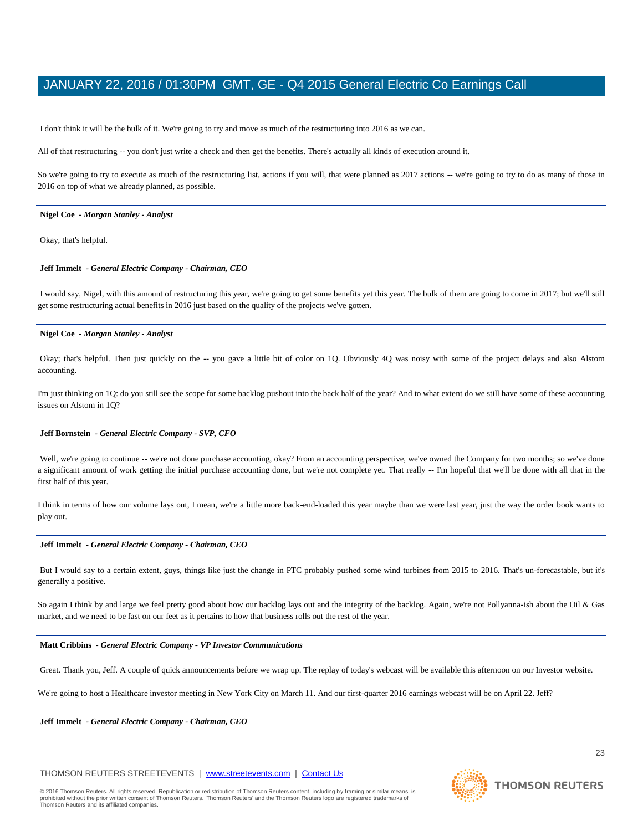I don't think it will be the bulk of it. We're going to try and move as much of the restructuring into 2016 as we can.

All of that restructuring -- you don't just write a check and then get the benefits. There's actually all kinds of execution around it.

So we're going to try to execute as much of the restructuring list, actions if you will, that were planned as 2017 actions -- we're going to try to do as many of those in 2016 on top of what we already planned, as possible.

#### **Nigel Coe** *- Morgan Stanley - Analyst*

Okay, that's helpful.

#### **Jeff Immelt** *- General Electric Company - Chairman, CEO*

I would say, Nigel, with this amount of restructuring this year, we're going to get some benefits yet this year. The bulk of them are going to come in 2017; but we'll still get some restructuring actual benefits in 2016 just based on the quality of the projects we've gotten.

#### **Nigel Coe** *- Morgan Stanley - Analyst*

Okay; that's helpful. Then just quickly on the -- you gave a little bit of color on 1Q. Obviously 4Q was noisy with some of the project delays and also Alstom accounting.

I'm just thinking on 1Q: do you still see the scope for some backlog pushout into the back half of the year? And to what extent do we still have some of these accounting issues on Alstom in 1Q?

#### **Jeff Bornstein** *- General Electric Company - SVP, CFO*

Well, we're going to continue -- we're not done purchase accounting, okay? From an accounting perspective, we've owned the Company for two months; so we've done a significant amount of work getting the initial purchase accounting done, but we're not complete yet. That really -- I'm hopeful that we'll be done with all that in the first half of this year.

I think in terms of how our volume lays out, I mean, we're a little more back-end-loaded this year maybe than we were last year, just the way the order book wants to play out.

#### **Jeff Immelt** *- General Electric Company - Chairman, CEO*

But I would say to a certain extent, guys, things like just the change in PTC probably pushed some wind turbines from 2015 to 2016. That's un-forecastable, but it's generally a positive.

So again I think by and large we feel pretty good about how our backlog lays out and the integrity of the backlog. Again, we're not Pollyanna-ish about the Oil & Gas market, and we need to be fast on our feet as it pertains to how that business rolls out the rest of the year.

#### **Matt Cribbins** *- General Electric Company - VP Investor Communications*

Great. Thank you, Jeff. A couple of quick announcements before we wrap up. The replay of today's webcast will be available this afternoon on our Investor website.

We're going to host a Healthcare investor meeting in New York City on March 11. And our first-quarter 2016 earnings webcast will be on April 22. Jeff?

**Jeff Immelt** *- General Electric Company - Chairman, CEO* 

# THOMSON REUTERS STREETEVENTS | [www.streetevents.com](http://www.streetevents.com/) | [Contact Us](http://www010.streetevents.com/contact.asp)